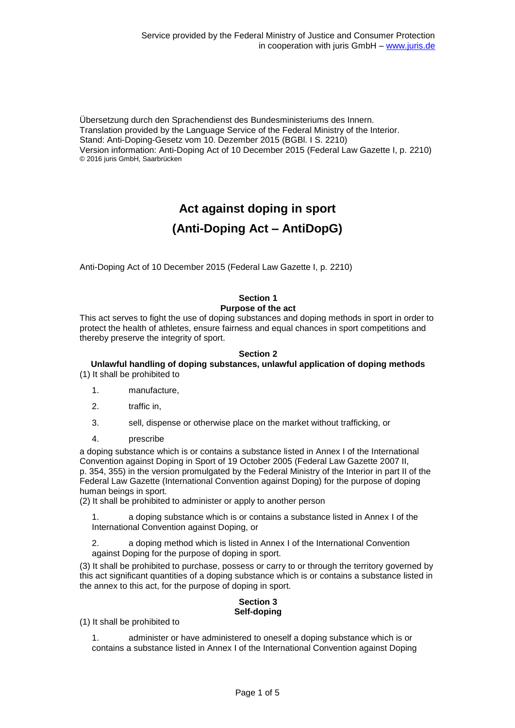Übersetzung durch den Sprachendienst des Bundesministeriums des Innern. Translation provided by the Language Service of the Federal Ministry of the Interior. Stand: Anti-Doping-Gesetz vom 10. Dezember 2015 (BGBl. I S. 2210) Version information: Anti-Doping Act of 10 December 2015 (Federal Law Gazette I, p. 2210) © 2016 juris GmbH, Saarbrücken

# **Act against doping in sport (Anti-Doping Act – AntiDopG)**

Anti-Doping Act of 10 December 2015 (Federal Law Gazette I, p. 2210)

# **Section 1 Purpose of the act**

This act serves to fight the use of doping substances and doping methods in sport in order to protect the health of athletes, ensure fairness and equal chances in sport competitions and thereby preserve the integrity of sport.

## **Section 2**

#### **Unlawful handling of doping substances, unlawful application of doping methods** (1) It shall be prohibited to

- 1. manufacture,
- 2. traffic in,
- 3. sell, dispense or otherwise place on the market without trafficking, or
- 4. prescribe

a doping substance which is or contains a substance listed in Annex I of the International Convention against Doping in Sport of 19 October 2005 (Federal Law Gazette 2007 II, p. 354, 355) in the version promulgated by the Federal Ministry of the Interior in part II of the Federal Law Gazette (International Convention against Doping) for the purpose of doping human beings in sport.

(2) It shall be prohibited to administer or apply to another person

a doping substance which is or contains a substance listed in Annex I of the International Convention against Doping, or

2. a doping method which is listed in Annex I of the International Convention against Doping for the purpose of doping in sport.

(3) It shall be prohibited to purchase, possess or carry to or through the territory governed by this act significant quantities of a doping substance which is or contains a substance listed in the annex to this act, for the purpose of doping in sport.

#### **Section 3 Self-doping**

(1) It shall be prohibited to

1. administer or have administered to oneself a doping substance which is or contains a substance listed in Annex I of the International Convention against Doping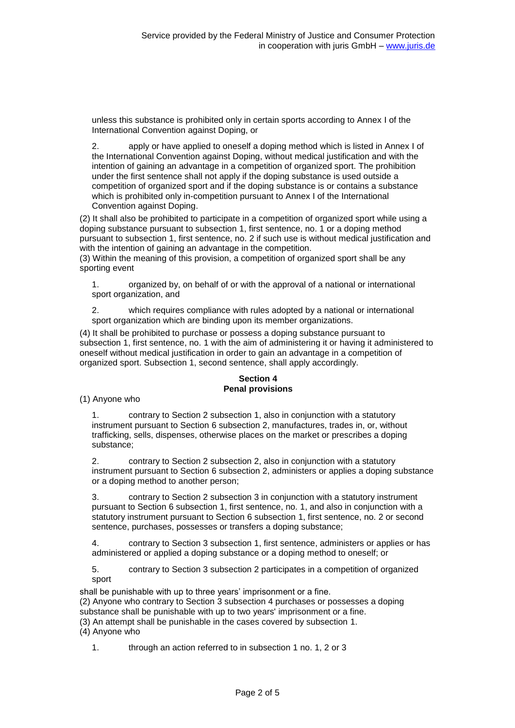unless this substance is prohibited only in certain sports according to Annex I of the International Convention against Doping, or

2. apply or have applied to oneself a doping method which is listed in Annex I of the International Convention against Doping, without medical justification and with the intention of gaining an advantage in a competition of organized sport. The prohibition under the first sentence shall not apply if the doping substance is used outside a competition of organized sport and if the doping substance is or contains a substance which is prohibited only in-competition pursuant to Annex I of the International Convention against Doping.

(2) It shall also be prohibited to participate in a competition of organized sport while using a doping substance pursuant to subsection 1, first sentence, no. 1 or a doping method pursuant to subsection 1, first sentence, no. 2 if such use is without medical justification and with the intention of gaining an advantage in the competition.

(3) Within the meaning of this provision, a competition of organized sport shall be any sporting event

1. organized by, on behalf of or with the approval of a national or international sport organization, and

2. which requires compliance with rules adopted by a national or international sport organization which are binding upon its member organizations.

(4) It shall be prohibited to purchase or possess a doping substance pursuant to subsection 1, first sentence, no. 1 with the aim of administering it or having it administered to oneself without medical justification in order to gain an advantage in a competition of organized sport. Subsection 1, second sentence, shall apply accordingly.

# **Section 4 Penal provisions**

(1) Anyone who

1. contrary to Section 2 subsection 1, also in conjunction with a statutory instrument pursuant to Section 6 subsection 2, manufactures, trades in, or, without trafficking, sells, dispenses, otherwise places on the market or prescribes a doping substance;

2. contrary to Section 2 subsection 2, also in conjunction with a statutory instrument pursuant to Section 6 subsection 2, administers or applies a doping substance or a doping method to another person;

3. contrary to Section 2 subsection 3 in conjunction with a statutory instrument pursuant to Section 6 subsection 1, first sentence, no. 1, and also in conjunction with a statutory instrument pursuant to Section 6 subsection 1, first sentence, no. 2 or second sentence, purchases, possesses or transfers a doping substance;

4. contrary to Section 3 subsection 1, first sentence, administers or applies or has administered or applied a doping substance or a doping method to oneself; or

5. contrary to Section 3 subsection 2 participates in a competition of organized sport

shall be punishable with up to three years' imprisonment or a fine. (2) Anyone who contrary to Section 3 subsection 4 purchases or possesses a doping substance shall be punishable with up to two years' imprisonment or a fine. (3) An attempt shall be punishable in the cases covered by subsection 1. (4) Anyone who

1. through an action referred to in subsection 1 no. 1, 2 or 3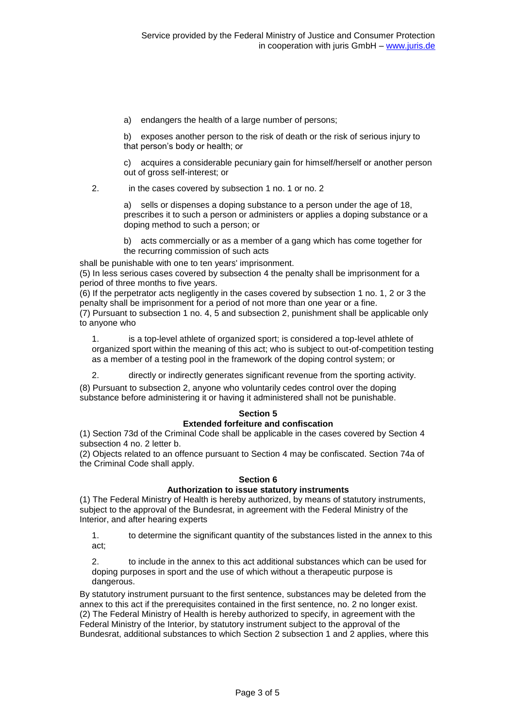a) endangers the health of a large number of persons;

b) exposes another person to the risk of death or the risk of serious injury to that person's body or health; or

c) acquires a considerable pecuniary gain for himself/herself or another person out of gross self-interest; or

2. in the cases covered by subsection 1 no. 1 or no. 2

a) sells or dispenses a doping substance to a person under the age of 18, prescribes it to such a person or administers or applies a doping substance or a doping method to such a person; or

b) acts commercially or as a member of a gang which has come together for the recurring commission of such acts

shall be punishable with one to ten years' imprisonment.

(5) In less serious cases covered by subsection 4 the penalty shall be imprisonment for a period of three months to five years.

(6) If the perpetrator acts negligently in the cases covered by subsection 1 no. 1, 2 or 3 the penalty shall be imprisonment for a period of not more than one year or a fine.

(7) Pursuant to subsection 1 no. 4, 5 and subsection 2, punishment shall be applicable only to anyone who

1. is a top-level athlete of organized sport; is considered a top-level athlete of organized sport within the meaning of this act; who is subject to out-of-competition testing as a member of a testing pool in the framework of the doping control system; or

2. directly or indirectly generates significant revenue from the sporting activity.

(8) Pursuant to subsection 2, anyone who voluntarily cedes control over the doping substance before administering it or having it administered shall not be punishable.

# **Section 5**

#### **Extended forfeiture and confiscation**

(1) Section 73d of the Criminal Code shall be applicable in the cases covered by Section 4 subsection 4 no. 2 letter b.

(2) Objects related to an offence pursuant to Section 4 may be confiscated. Section 74a of the Criminal Code shall apply.

## **Section 6**

## **Authorization to issue statutory instruments**

(1) The Federal Ministry of Health is hereby authorized, by means of statutory instruments, subject to the approval of the Bundesrat, in agreement with the Federal Ministry of the Interior, and after hearing experts

1. to determine the significant quantity of the substances listed in the annex to this act;

2. to include in the annex to this act additional substances which can be used for doping purposes in sport and the use of which without a therapeutic purpose is dangerous.

By statutory instrument pursuant to the first sentence, substances may be deleted from the annex to this act if the prerequisites contained in the first sentence, no. 2 no longer exist. (2) The Federal Ministry of Health is hereby authorized to specify, in agreement with the Federal Ministry of the Interior, by statutory instrument subject to the approval of the Bundesrat, additional substances to which Section 2 subsection 1 and 2 applies, where this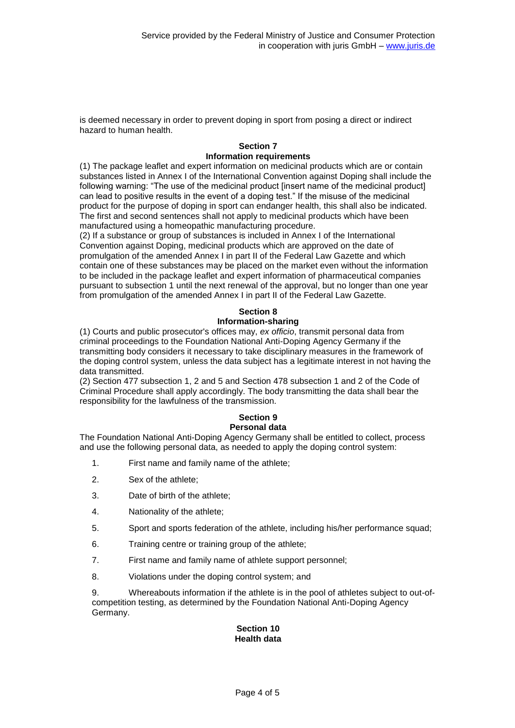is deemed necessary in order to prevent doping in sport from posing a direct or indirect hazard to human health.

#### **Section 7 Information requirements**

(1) The package leaflet and expert information on medicinal products which are or contain substances listed in Annex I of the International Convention against Doping shall include the following warning: "The use of the medicinal product [insert name of the medicinal product] can lead to positive results in the event of a doping test." If the misuse of the medicinal product for the purpose of doping in sport can endanger health, this shall also be indicated. The first and second sentences shall not apply to medicinal products which have been manufactured using a homeopathic manufacturing procedure.

(2) If a substance or group of substances is included in Annex I of the International Convention against Doping, medicinal products which are approved on the date of promulgation of the amended Annex I in part II of the Federal Law Gazette and which contain one of these substances may be placed on the market even without the information to be included in the package leaflet and expert information of pharmaceutical companies pursuant to subsection 1 until the next renewal of the approval, but no longer than one year from promulgation of the amended Annex I in part II of the Federal Law Gazette.

# **Section 8**

#### **Information-sharing**

(1) Courts and public prosecutor's offices may, *ex officio*, transmit personal data from criminal proceedings to the Foundation National Anti-Doping Agency Germany if the transmitting body considers it necessary to take disciplinary measures in the framework of the doping control system, unless the data subject has a legitimate interest in not having the data transmitted.

(2) Section 477 subsection 1, 2 and 5 and Section 478 subsection 1 and 2 of the Code of Criminal Procedure shall apply accordingly. The body transmitting the data shall bear the responsibility for the lawfulness of the transmission.

## **Section 9**

## **Personal data**

The Foundation National Anti-Doping Agency Germany shall be entitled to collect, process and use the following personal data, as needed to apply the doping control system:

- 1. First name and family name of the athlete;
- 2. Sex of the athlete;
- 3. Date of birth of the athlete;
- 4. Nationality of the athlete;
- 5. Sport and sports federation of the athlete, including his/her performance squad;
- 6. Training centre or training group of the athlete;
- 7. First name and family name of athlete support personnel;
- 8. Violations under the doping control system; and

9. Whereabouts information if the athlete is in the pool of athletes subject to out-ofcompetition testing, as determined by the Foundation National Anti-Doping Agency Germany.

#### **Section 10 Health data**